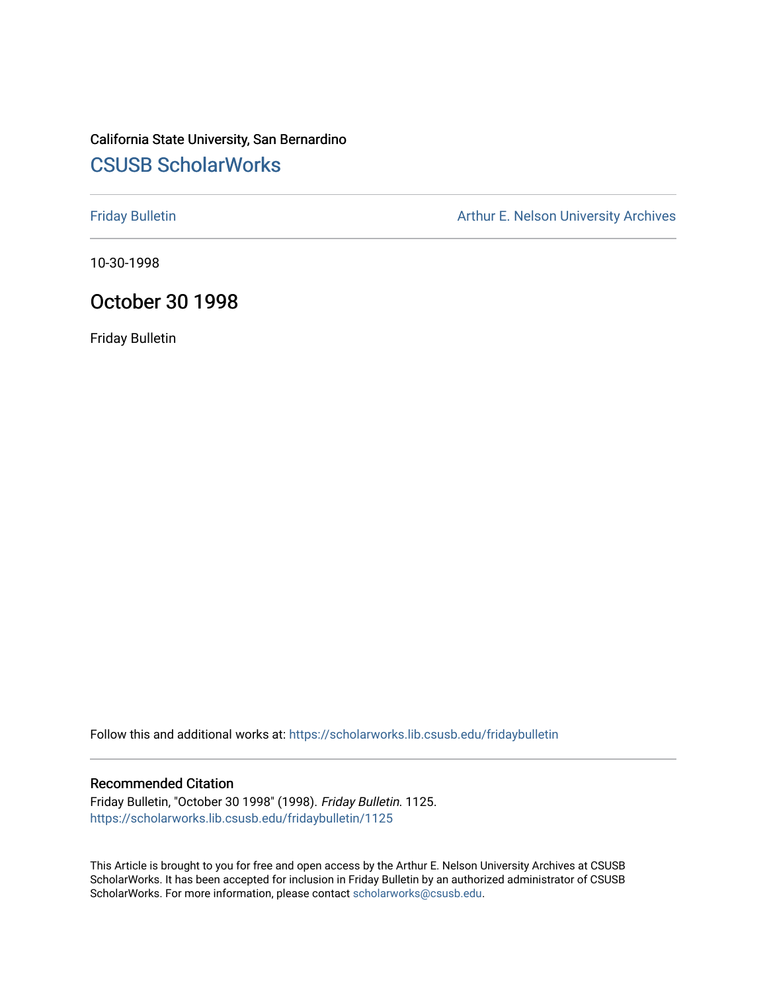# California State University, San Bernardino [CSUSB ScholarWorks](https://scholarworks.lib.csusb.edu/)

[Friday Bulletin](https://scholarworks.lib.csusb.edu/fridaybulletin) **Arthur E. Nelson University Archives** Arthur E. Nelson University Archives

10-30-1998

# October 30 1998

Friday Bulletin

Follow this and additional works at: [https://scholarworks.lib.csusb.edu/fridaybulletin](https://scholarworks.lib.csusb.edu/fridaybulletin?utm_source=scholarworks.lib.csusb.edu%2Ffridaybulletin%2F1125&utm_medium=PDF&utm_campaign=PDFCoverPages)

#### Recommended Citation

Friday Bulletin, "October 30 1998" (1998). Friday Bulletin. 1125. [https://scholarworks.lib.csusb.edu/fridaybulletin/1125](https://scholarworks.lib.csusb.edu/fridaybulletin/1125?utm_source=scholarworks.lib.csusb.edu%2Ffridaybulletin%2F1125&utm_medium=PDF&utm_campaign=PDFCoverPages) 

This Article is brought to you for free and open access by the Arthur E. Nelson University Archives at CSUSB ScholarWorks. It has been accepted for inclusion in Friday Bulletin by an authorized administrator of CSUSB ScholarWorks. For more information, please contact [scholarworks@csusb.edu.](mailto:scholarworks@csusb.edu)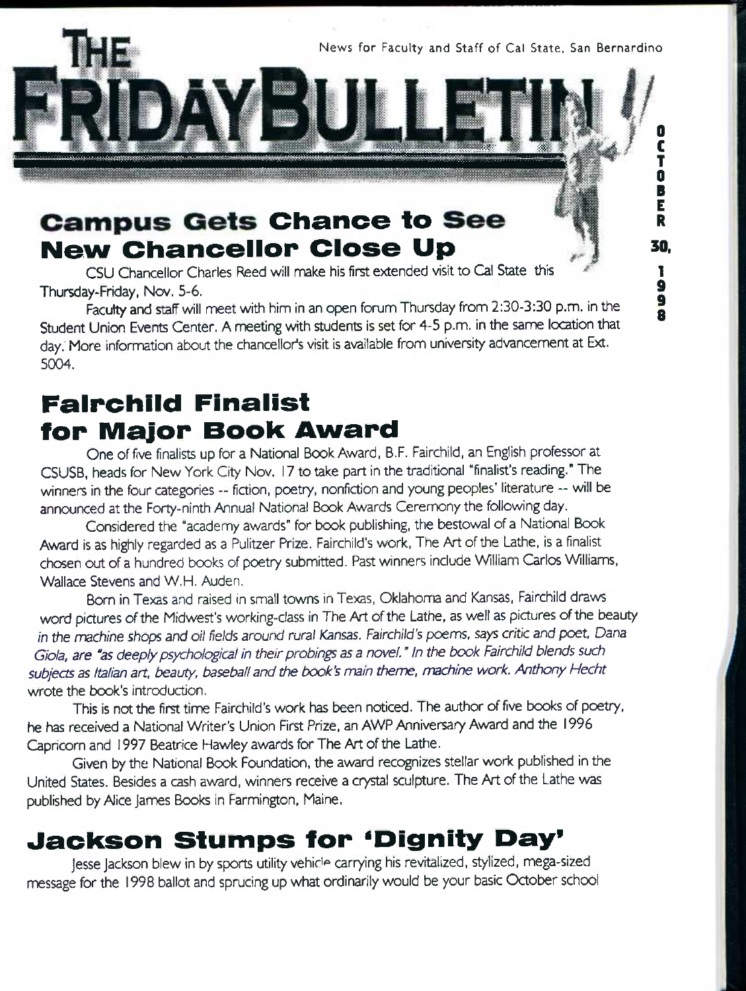News for Faculty and Staff of Cal State. San Bernardino

**I** I

*M M. .* 

**0**  C T **0**  B E R

**30,**  1 **9 9**  ā

# **Campus Gets Chance to See New Chancellor Close Up**

CSU Chancellor Charles Reed will make his first extended visit to Cai State this Thursday-Friday, Nov. 5-6.

Faculty and staff will meet with him in an open forum Thursday from 2:30-3:30 p.m. in the Student Union Events Center. A meeting with students is set for 4-5 p.m. in the same location that day." More information about the chancellor's visit is available from university advancement at Ext. 5004.

# **Falrohild Finalist for Major Book Award**

One of five finalists up for a National Book Award, B.F. Fairchild, an English professor at CSUSB, heads for New York City Nov. 17 to take part in the traditional "finalist's reading." The winners in the four categories -- fiction, poetry, nonfiction and young peoples' literature -- will be announced at the Forty-ninth Annual National Book Awards Ceremony the following day.

Considered the "academy awards" for book publishing, the bestowal of a National Book Award is as highly regarded as a Pulitzer Prize. Fairchild's work, The Art of the Lathe, is a finalist chosen out of a hundred books of poetry submitted. Past winners include William Carlos Wlliams, Wallace Stevens and W.H. Auden.

Born in Texas and raised in small towns in Texas, Oklahoma and Kansas, Fairchild draws word pictures of the Midwest's working-class in The Art of the Lathe, as well as pictures of the beauty *in the machine shops and oil fields around rural Kansas. Fairchild's poems, says critic and poet, Dana* Giola, are "as deeply psychological in their probings as a novel." In the book Fairchild blends such *subjects as Italian art. beauty, baseball and the book's main theme, machine work. Anthony Hecht*  wrote the book's introduction.

This is not the first time Fairchild's work has been noticed. The author of five books of poetry, he has received a National Writer's Union First Prize, an AWP Anniversary Award and the 1996 Capricorn and 1997 Beatrice Hawley awards for The Art of the Lathe.

Given by the National Book Foundation, the award recognizes stellar work published in the United States. Besides a cash award, winners receive a crystal sculpture. The Art of the Lathe was published by Alice James Books in Farmington, Maine.

# **Jackson Stumps for 'Dignity Day'**

jesse Jackson blew in by sports utility vehicle carrying his revitalized, stylized, mega-sized message for the 1998 ballot and sprucing up what ordinarily would be your basic October school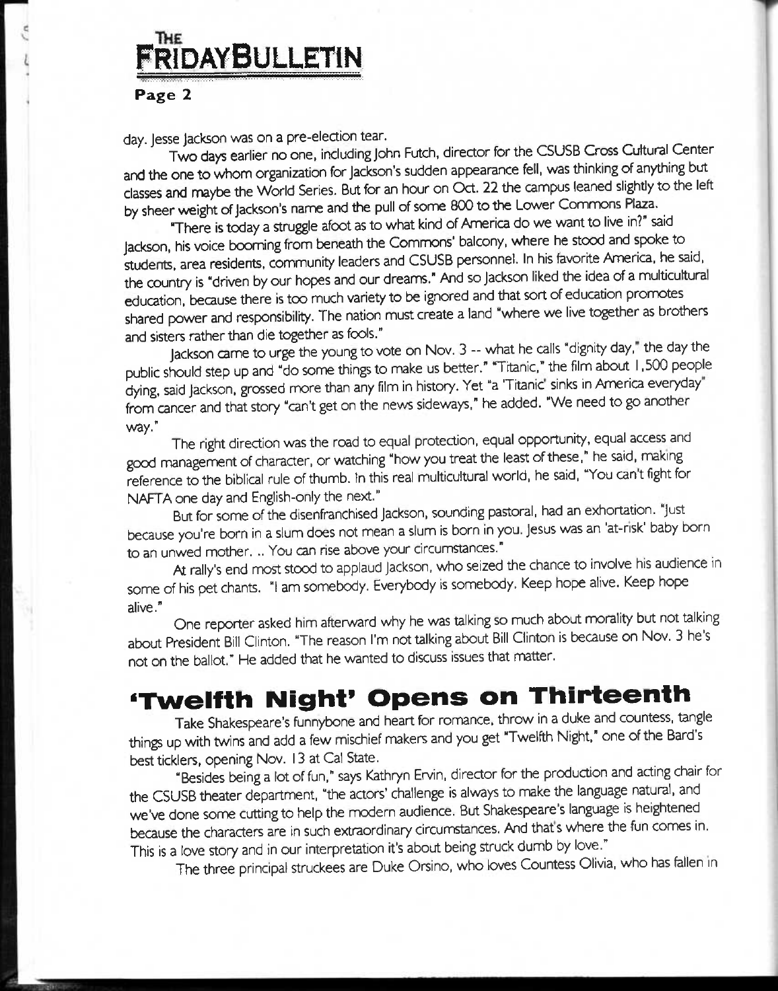# **FridayBulletin**

#### Page *2*

day. Jesse Jackson was on a pre-election tear.

Two days earlier no one, including John Futch, director for the CSUSB Cross Cultural Center and the one to whom organization for Jackson's sudden appearance fell, was thinking of anything but classes and maybe the World Series. But for an hour on Oct. *22* the campus leaned slightly to the left by sheer weight of Jackson's name and the pull of some 800 to the Lower Commons Plaza.

There is today a struggle afoot as to what kind of America do we want to live in?" said Jackson, his voice booming from beneath the Commons' balcony, where he stood and spoke to students, area residents, community leaders and CSUSB personnel. In his favorite America, he said, the country is "driven by our hopes and our dreams." And so Jackson liked the idea of a multicultural education, because there is too much variety to be ignored and that sort of education pronnotes shared power and responsibility. The nation must create a land "where we live together as brothers and sisters rather than die together as fools."

Jackson came to urge the young to vote on Nov. 3 -- what he calls "dignity day," the day the public should step up and "do some things to make us better." "Titanic," the film about 1.500 people dying, said Jackson, grossed more than any film in history. Yet "a 'Titanic' sinks in America everyday" from cancer and that story "can't get on the news sideways." he added. "We need to go another way."

The right direction was the road to equal protection, equal opportunity, equal access and good management of character, or watching "how you treat the least of these," he said, making reference to the biblical rule of thumb. In this real multicultural world, he said, "You can't fight for NAFTA one day and English-only the next."

But for some of the disenfranchised Jackson, sounding pastoral, had an exhortation. "Just because you're born in a slum does not mean a slum is born in you. Jesus was an 'at-risk' baby born to an unwed mother. .. You can rise above your circumstances."

At rally's end most stood to applaud Jackson, who seized the chance to involve his audience in some of his pet chants. "I am somebody. Everybody is somebody. Keep hope alive. Keep hope alive." ,• u II •

One reporter asked him afterward why he was talking so much about morality but not talking about President Bill Clinton. "The reason I'm not talking about Bill Clinton is because on Nov. 3 he's not on the ballot." He added that he wanted to discuss issues that matter.

# **^Twelfth Night' Opens on Thirteenth**

Take Shakespeare's funnybone and heart for romance, throw in a duke and countess, tangle things up with twins and add a few mischief makers and you get "Twelfth Night," one of the Bard's best ticklers, opening Nov. 13 at Cal State.

"Besides being a lot of fun," says Kathryn Ervin, director for the production and acting chair for the CSUSB theater department, "the actors' challenge is always to make the language natural, and we've done some cutting to help the modern audience. But Shakespeare's language is heightened because the characters are in such extraordinary circumstances. And that's where the fun comes in. This is a love story and in our interpretation it's about being struck dumb by love."

The three principal struckees are Duke Orsino, who loves Countess Olivia, who has fellen in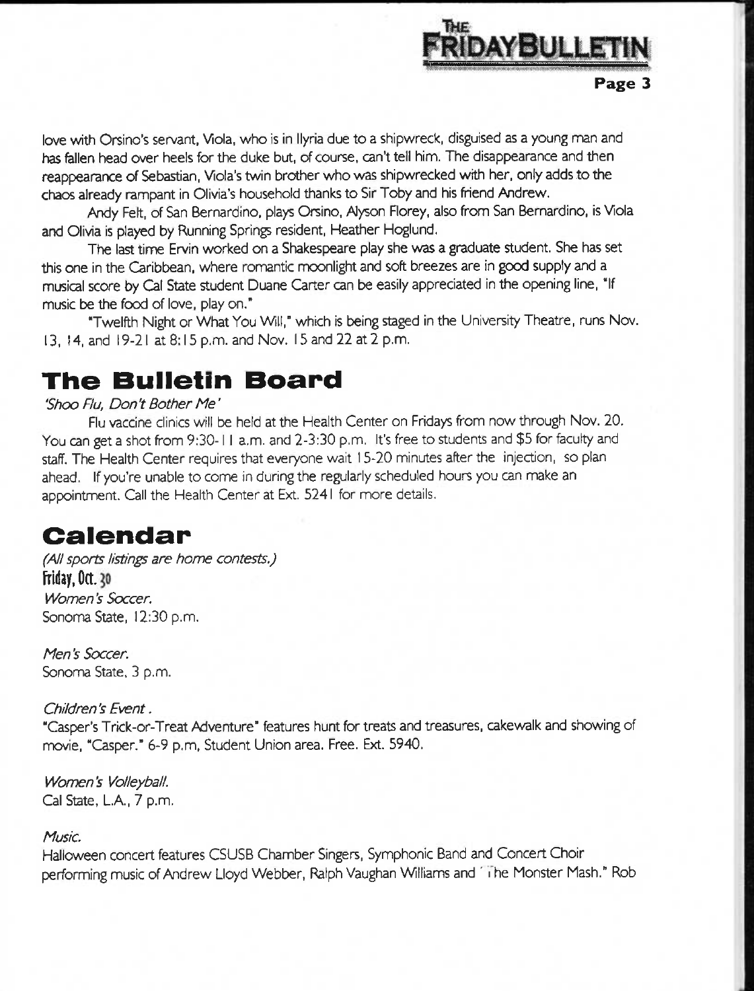

love with Orsino's servant, Viola, who is in llyria due to a shipwreck, disguised as a young man and has fallen head over heels for the duke but, of course, can't tell him. The disappearance and then reappearance of Sebastian, Viola's twin brother who was shipwrecked with her, only adds to the chaos already rampant in Olivia's household thanks to Sir Toby and his friend Andrew.

Andy Felt, of San Bernardino, plays Orsino, Alyson Florey, also from San Bernardino, is Viola and Olivia is played by Running Springs resident, Heather Hoglund.

The last time Ervin worked on a Shakespeare play she *was* a graduate student. She has set this one in the Caribbean, where romantic moonlight and soft breezes are in good supply and a musical score by Cat State student Duane Carter can be easily appreciated in the opening line, "If music be the food of love, play on."

"Twelfth Night or What You Will," which is being staged in the University Theatre, runs Nov. 13. 14, and i 9-21 at 8:15 p.m. and Nov. 15 and 22 at 2 p.m.

# **The Bulletin Board**

#### *'Shoo Flu, Don't Bother Me'*

Flu vaccine clinics will be held at the Health Center on Fridays from now through Nov. 20. You can get a shot from 9:30-1 1 a.m. and 2-3:30 p.m. It's free to students and \$5 for faculty and staff. The Health Center requires that everyone wait 15-20 minutes after the injection, so plan ahead. If you're unable to come in during the regularly scheduled hours you can make an appointment. Call the Health Center at Ext. 5241 for more details.

# **Calendar**

*(Ai! sports listings are home contests,)*  **Friday, Oct. 30** *Women's Soccer.*  Sonoma State, 12:30 p.m.

*Men's Soccer.*  Sonoma State. 3 p.m.

## *Children's Event.*

"Casper's Trick-or-Treat Adventure" features hunt for treats and treasures, cakewalk and showing of movie, "Casper." 6-9 p.m. Student Union area. Free. Ext. 5940.

*Women's Volleyball.*  Cal State, L.A., 7 p.m.

## *Music.*

Halloween concert features CSUSB Chamber Singers, Symphonic Band and Concert Choir performing music of Andrew Lloyd Webber, Ralph Vaughan Williams and ' i he Monster Mash." Rob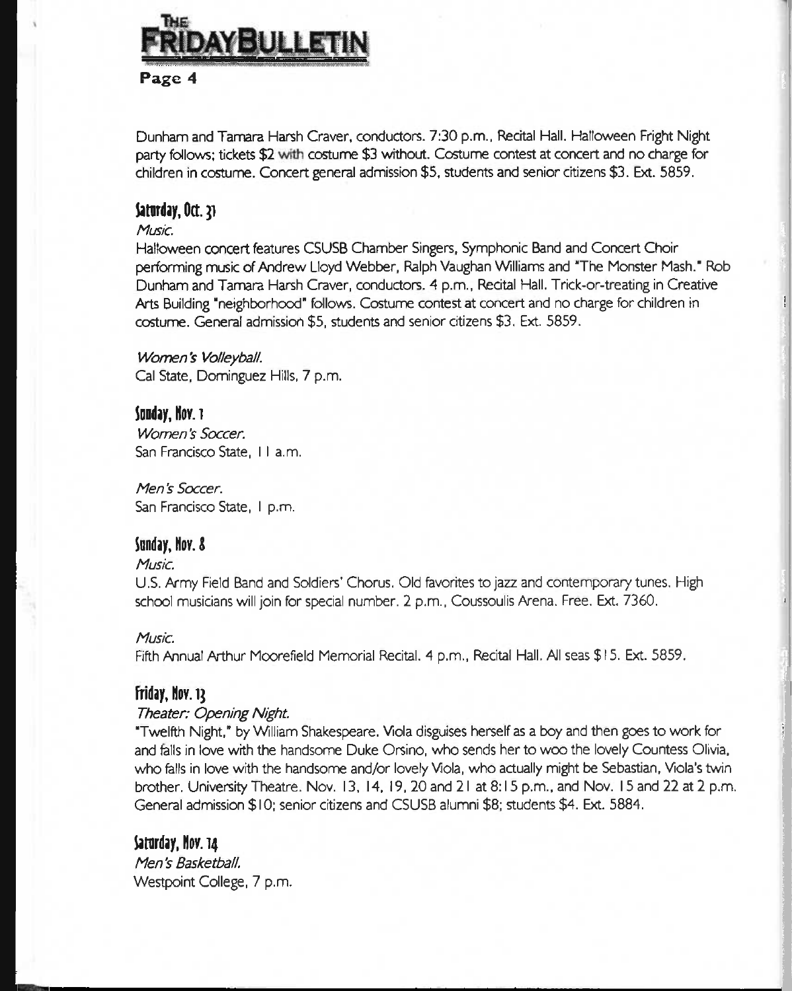

Dunham and Tamara Harsh Graver, conductors. 7:30 p.m., Recital Hall. Halloween Fright Night party follows; tickets \$2 with costume \$3 without. Costume contest at concert and no charge for children in costume. Concert general admission \$5, students and senior citizens \$3. Ext. 5859.

# **Satorday.Oct.}!**

#### *Mus/c. 3*

Music.<br>Halloween concert features CSUSB Chamber Singers, Symphonic Band and Concert Choir performing music of Andrew Lloyd Webber, Ralph Vaughan Williams and "The Monster Mash." Rob Dunham and Tamara Harsh Graver, condurtors. *A* p.m.. Recital Hall. Trick-or-treating in Creative Arts Building "neighborhood" follows. Costume contest at concert and no charge for children in costume. General admission \$5, students and senior citizens \$3. Ext. 5859. ^

I

#### *Women's Volleyball. \*

Cal State, Dominguez Hills, 7 p.m.

#### Sonday, Nov. 1

*Women '5 Soccer.*  San Francisco State, I I a.m.

*Men's Soccer.*  San Francisco State, I p.m.

## **innday, Nor. S**

#### *Music.*

U.S. Army Field Band and Soldiers' Chorus. Old favorites to jazz and contemporary tunes. High \ school musicians will join for special number. 2 p.m., Coussoulis Arena. Free. Ext. 7360. »

#### *Music.*

Fifth Annual Arthur Moorefield Memorial Recital. 4 p.m., Recital Hall. All seas \$15. Ext. 5859.

## **Friday, Nov. ij**

#### *Theater: Opening Night.*

"Twelfth Night," by Wlliam Shakespeare. Viola disguises herself as a boy and then goes to work for j and falls in love with the handsome Duke Orsino, who sends her to woo the lovely Countess Olivia, who fells in love with the handsome and/or lovely Viola, who actually might be Sebastian, Viola's twin brother. University Theatre. Nov. 13, 14, I9,20and2l at 8:15 p.m., and Nov. 15 and 22 at 2 p.m. General admission \$ 10; senior citizens and CSUSB alumni \$8; students \$4. Ext. 5884.

## Saturday, Nov. 14

*Men's Basketball.*  Westpoint College, 7 p.m.